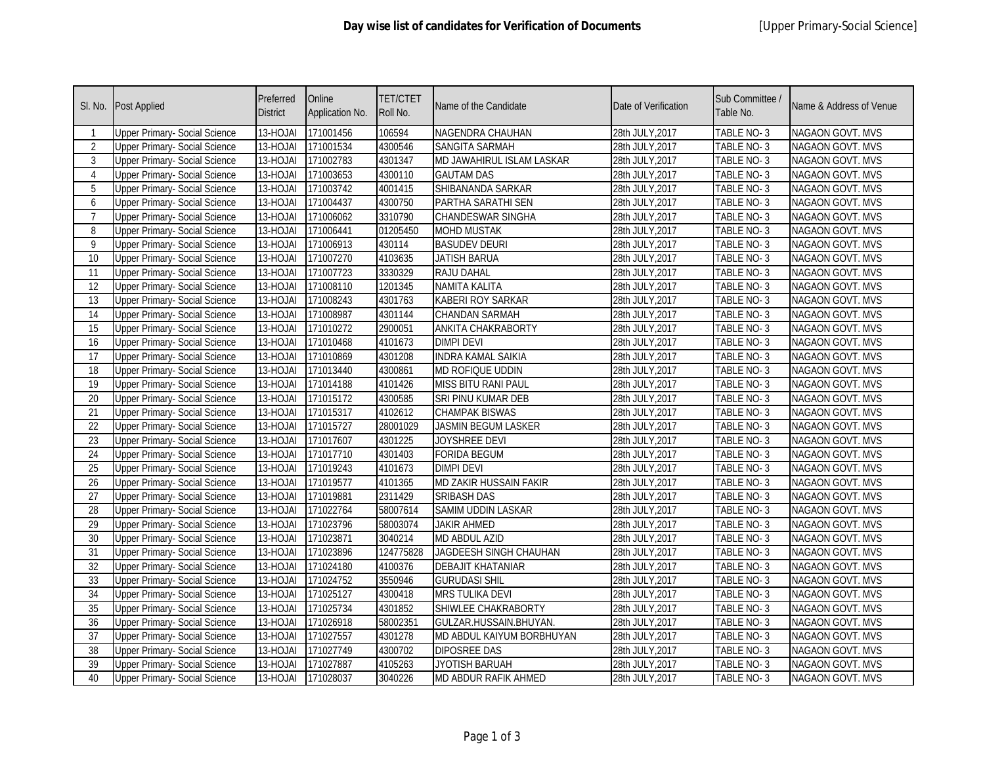| SI. No.         | <b>Post Applied</b>                  | Preferred<br><b>District</b> | Online<br>Application No. | <b>TET/CTET</b><br>Roll No. | Name of the Candidate       | Date of Verification | Sub Committee /<br>Table No. | Name & Address of Venue |
|-----------------|--------------------------------------|------------------------------|---------------------------|-----------------------------|-----------------------------|----------------------|------------------------------|-------------------------|
|                 | <b>Upper Primary- Social Science</b> | 13-HOJAI                     | 171001456                 | 106594                      | NAGENDRA CHAUHAN            | 28th JULY, 2017      | TABLE NO-3                   | NAGAON GOVT. MVS        |
| $\overline{2}$  | <b>Upper Primary- Social Science</b> | 13-HOJAI                     | 171001534                 | 4300546                     | <b>SANGITA SARMAH</b>       | 28th JULY, 2017      | TABLE NO-3                   | <b>NAGAON GOVT. MVS</b> |
| 3               | <b>Upper Primary- Social Science</b> | 13-HOJAI                     | 171002783                 | 4301347                     | MD JAWAHIRUL ISLAM LASKAR   | 28th JULY, 2017      | TABLE NO-3                   | <b>NAGAON GOVT. MVS</b> |
| 4               | <b>Upper Primary- Social Science</b> | 13-HOJAI                     | 171003653                 | 4300110                     | <b>GAUTAM DAS</b>           | 28th JULY, 2017      | TABLE NO-3                   | <b>NAGAON GOVT. MVS</b> |
| 5               | <b>Upper Primary- Social Science</b> | 13-HOJAI                     | 171003742                 | 4001415                     | SHIBANANDA SARKAR           | 28th JULY, 2017      | TABLE NO-3                   | <b>NAGAON GOVT. MVS</b> |
| 6               | <b>Upper Primary- Social Science</b> | 13-HOJAI                     | 171004437                 | 4300750                     | PARTHA SARATHI SEN          | 28th JULY, 2017      | TABLE NO-3                   | <b>NAGAON GOVT. MVS</b> |
| $\overline{7}$  | <b>Upper Primary- Social Science</b> | 13-HOJAI                     | 171006062                 | 3310790                     | <b>CHANDESWAR SINGHA</b>    | 28th JULY, 2017      | TABLE NO-3                   | NAGAON GOVT. MVS        |
| 8               | <b>Upper Primary- Social Science</b> | 13-HOJAI                     | 171006441                 | 01205450                    | <b>MOHD MUSTAK</b>          | 28th JULY, 2017      | TABLE NO-3                   | NAGAON GOVT. MVS        |
| 9               | <b>Upper Primary- Social Science</b> | 13-HOJAI                     | 171006913                 | 430114                      | <b>BASUDEV DEURI</b>        | 28th JULY, 2017      | TABLE NO-3                   | <b>NAGAON GOVT. MVS</b> |
| 10              | <b>Upper Primary- Social Science</b> | 13-HOJAI                     | 171007270                 | 4103635                     | <b>JATISH BARUA</b>         | 28th JULY, 2017      | TABLE NO-3                   | NAGAON GOVT. MVS        |
| 11              | <b>Upper Primary- Social Science</b> | 13-HOJAI                     | 171007723                 | 3330329                     | RAJU DAHAL                  | 28th JULY, 2017      | TABLE NO-3                   | <b>NAGAON GOVT. MVS</b> |
| 12              | <b>Upper Primary- Social Science</b> | 13-HOJAI                     | 171008110                 | 1201345                     | NAMITA KALITA               | 28th JULY, 2017      | TABLE NO-3                   | NAGAON GOVT. MVS        |
| $\overline{13}$ | <b>Upper Primary- Social Science</b> | 13-HOJAI                     | 171008243                 | 4301763                     | <b>KABERI ROY SARKAR</b>    | 28th JULY, 2017      | TABLE NO-3                   | NAGAON GOVT. MVS        |
| 14              | <b>Upper Primary- Social Science</b> | 13-HOJAI                     | 171008987                 | 4301144                     | <b>CHANDAN SARMAH</b>       | 28th JULY, 2017      | TABLE NO-3                   | NAGAON GOVT. MVS        |
| $\overline{15}$ | <b>Upper Primary- Social Science</b> | 13-HOJAI                     | 171010272                 | 2900051                     | <b>ANKITA CHAKRABORTY</b>   | 28th JULY, 2017      | TABLE NO-3                   | <b>NAGAON GOVT. MVS</b> |
| 16              | <b>Upper Primary- Social Science</b> | 13-HOJAI                     | 171010468                 | 4101673                     | <b>DIMPI DEVI</b>           | 28th JULY, 2017      | TABLE NO-3                   | <b>NAGAON GOVT. MVS</b> |
| 17              | <b>Upper Primary- Social Science</b> | 13-HOJAI                     | 171010869                 | 4301208                     | <b>INDRA KAMAL SAIKIA</b>   | 28th JULY, 2017      | TABLE NO-3                   | <b>NAGAON GOVT. MVS</b> |
| 18              | <b>Upper Primary- Social Science</b> | 13-HOJAI                     | 171013440                 | 4300861                     | MD ROFIQUE UDDIN            | 28th JULY, 2017      | TABLE NO-3                   | <b>NAGAON GOVT. MVS</b> |
| 19              | <b>Upper Primary- Social Science</b> | 13-HOJAI                     | 171014188                 | 4101426                     | <b>MISS BITU RANI PAUL</b>  | 28th JULY, 2017      | <b>TABLE NO-3</b>            | NAGAON GOVT. MVS        |
| 20              | <b>Upper Primary- Social Science</b> | 13-HOJAI                     | 171015172                 | 4300585                     | SRI PINU KUMAR DEB          | 28th JULY, 2017      | TABLE NO-3                   | <b>NAGAON GOVT. MVS</b> |
| 21              | <b>Upper Primary- Social Science</b> | 13-HOJAI                     | 171015317                 | 4102612                     | <b>CHAMPAK BISWAS</b>       | 28th JULY, 2017      | TABLE NO-3                   | NAGAON GOVT. MVS        |
| 22              | <b>Upper Primary- Social Science</b> | $13-HOJAI$                   | 171015727                 | 28001029                    | <b>JASMIN BEGUM LASKER</b>  | 28th JULY, 2017      | TABLE NO-3                   | <b>NAGAON GOVT. MVS</b> |
| 23              | <b>Upper Primary- Social Science</b> | 13-HOJAI                     | 171017607                 | 4301225                     | JOYSHREE DEVI               | 28th JULY, 2017      | TABLE NO-3                   | NAGAON GOVT. MVS        |
| 24              | <b>Upper Primary- Social Science</b> | 13-HOJAI                     | 171017710                 | 4301403                     | <b>FORIDA BEGUM</b>         | 28th JULY, 2017      | TABLE NO-3                   | NAGAON GOVT. MVS        |
| 25              | <b>Upper Primary- Social Science</b> | 13-HOJAI                     | 171019243                 | 4101673                     | <b>DIMPI DEVI</b>           | 28th JULY, 2017      | TABLE NO-3                   | NAGAON GOVT. MVS        |
| 26              | <b>Upper Primary- Social Science</b> | 13-HOJAI                     | 171019577                 | 4101365                     | MD ZAKIR HUSSAIN FAKIR      | 28th JULY, 2017      | TABLE NO-3                   | NAGAON GOVT. MVS        |
| 27              | <b>Upper Primary- Social Science</b> | 13-HOJAI                     | 171019881                 | 2311429                     | <b>SRIBASH DAS</b>          | 28th JULY, 2017      | TABLE NO-3                   | NAGAON GOVT. MVS        |
| 28              | <b>Upper Primary- Social Science</b> | 13-HOJAI                     | 171022764                 | 58007614                    | SAMIM UDDIN LASKAR          | 28th JULY, 2017      | TABLE NO-3                   | <b>NAGAON GOVT. MVS</b> |
| 29              | <b>Upper Primary- Social Science</b> | 13-HOJAI                     | 171023796                 | 58003074                    | <b>JAKIR AHMED</b>          | 28th JULY, 2017      | TABLE NO-3                   | NAGAON GOVT. MVS        |
| 30              | <b>Upper Primary- Social Science</b> | 13-HOJAI                     | 171023871                 | 3040214                     | <b>MD ABDUL AZID</b>        | 28th JULY, 2017      | TABLE NO-3                   | NAGAON GOVT. MVS        |
| 31              | <b>Upper Primary- Social Science</b> | 13-HOJAI                     | 171023896                 | 124775828                   | JAGDEESH SINGH CHAUHAN      | 28th JULY, 2017      | TABLE NO-3                   | <b>NAGAON GOVT. MVS</b> |
| 32              | <b>Upper Primary- Social Science</b> | 13-HOJAI                     | 171024180                 | 4100376                     | <b>DEBAJIT KHATANIAR</b>    | 28th JULY, 2017      | TABLE NO-3                   | NAGAON GOVT. MVS        |
| 33              | <b>Upper Primary- Social Science</b> | 13-HOJAI                     | 171024752                 | 3550946                     | <b>GURUDASI SHIL</b>        | 28th JULY, 2017      | TABLE NO-3                   | NAGAON GOVT. MVS        |
| 34              | <b>Upper Primary- Social Science</b> | 13-HOJAI                     | 171025127                 | 4300418                     | <b>MRS TULIKA DEVI</b>      | 28th JULY, 2017      | TABLE NO-3                   | NAGAON GOVT. MVS        |
| 35              | <b>Upper Primary- Social Science</b> | 13-HOJAI                     | 171025734                 | 4301852                     | SHIWLEE CHAKRABORTY         | 28th JULY, 2017      | TABLE NO-3                   | NAGAON GOVT. MVS        |
| $\overline{36}$ | <b>Upper Primary- Social Science</b> | 13-HOJAI                     | 171026918                 | 58002351                    | GULZAR.HUSSAIN.BHUYAN.      | 28th JULY, 2017      | TABLE NO-3                   | NAGAON GOVT. MVS        |
| 37              | <b>Upper Primary- Social Science</b> | 13-HOJAI                     | 171027557                 | 4301278                     | MD ABDUL KAIYUM BORBHUYAN   | 28th JULY, 2017      | TABLE NO-3                   | <b>NAGAON GOVT. MVS</b> |
| 38              | <b>Upper Primary- Social Science</b> | 13-HOJAI                     | 171027749                 | 4300702                     | <b>DIPOSREE DAS</b>         | 28th JULY, 2017      | TABLE NO-3                   | NAGAON GOVT. MVS        |
| $\overline{39}$ | <b>Upper Primary- Social Science</b> | 13-HOJAI                     | 171027887                 | 4105263                     | <b>JYOTISH BARUAH</b>       | 28th JULY, 2017      | TABLE NO-3                   | <b>NAGAON GOVT. MVS</b> |
| 40              | <b>Upper Primary- Social Science</b> | 13-HOJAI                     | 171028037                 | 3040226                     | <b>MD ABDUR RAFIK AHMED</b> | 28th JULY, 2017      | TABLE NO-3                   | <b>NAGAON GOVT. MVS</b> |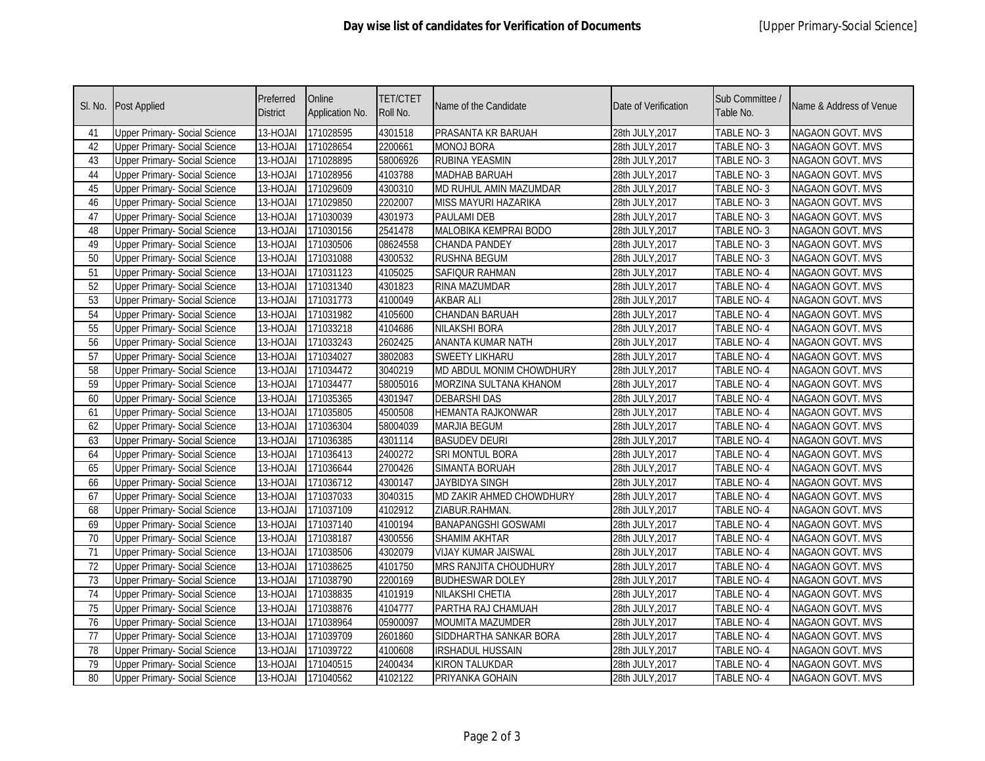| SI. No.         | <b>Post Applied</b>                  | Preferred<br><b>District</b> | Online<br>Application No. | <b>TET/CTET</b><br>Roll No. | Name of the Candidate        | Date of Verification | Sub Committee /<br>Table No. | Name & Address of Venue |
|-----------------|--------------------------------------|------------------------------|---------------------------|-----------------------------|------------------------------|----------------------|------------------------------|-------------------------|
| 41              | <b>Upper Primary- Social Science</b> | $13-HOJAI$                   | 171028595                 | 4301518                     | PRASANTA KR BARUAH           | 28th JULY, 2017      | TABLE NO-3                   | NAGAON GOVT. MVS        |
| 42              | <b>Upper Primary- Social Science</b> | 13-HOJAI                     | 171028654                 | 2200661                     | <b>MONOJ BORA</b>            | 28th JULY, 2017      | TABLE NO-3                   | <b>NAGAON GOVT. MVS</b> |
| 43              | <b>Upper Primary- Social Science</b> | 13-HOJAI                     | 171028895                 | 58006926                    | <b>RUBINA YEASMIN</b>        | 28th JULY, 2017      | TABLE NO-3                   | NAGAON GOVT. MVS        |
| 44              | <b>Upper Primary- Social Science</b> | 13-HOJAI                     | 171028956                 | 4103788                     | MADHAB BARUAH                | 28th JULY, 2017      | TABLE NO-3                   | NAGAON GOVT. MVS        |
| 45              | <b>Upper Primary- Social Science</b> | 13-HOJAI                     | 171029609                 | 4300310                     | MD RUHUL AMIN MAZUMDAR       | 28th JULY, 2017      | TABLE NO-3                   | NAGAON GOVT. MVS        |
| 46              | <b>Upper Primary- Social Science</b> | 13-HOJAI                     | 171029850                 | 2202007                     | <b>MISS MAYURI HAZARIKA</b>  | 28th JULY, 2017      | TABLE NO-3                   | NAGAON GOVT. MVS        |
| 47              | <b>Upper Primary- Social Science</b> | 13-HOJAI                     | 171030039                 | 4301973                     | PAULAMI DEB                  | 28th JULY, 2017      | TABLE NO-3                   | NAGAON GOVT. MVS        |
| 48              | <b>Upper Primary- Social Science</b> | 13-HOJAI                     | 171030156                 | 2541478                     | MALOBIKA KEMPRAI BODO        | 28th JULY, 2017      | TABLE NO-3                   | NAGAON GOVT. MVS        |
| 49              | <b>Upper Primary- Social Science</b> | 13-HOJAI                     | 171030506                 | 08624558                    | CHANDA PANDEY                | 28th JULY, 2017      | TABLE NO-3                   | <b>NAGAON GOVT. MVS</b> |
| $\overline{50}$ | <b>Upper Primary- Social Science</b> | 13-HOJAI                     | 171031088                 | 4300532                     | <b>RUSHNA BEGUM</b>          | 28th JULY, 2017      | TABLE NO-3                   | NAGAON GOVT. MVS        |
| 51              | <b>Upper Primary- Social Science</b> | $13 - HOJAI$                 | 171031123                 | 4105025                     | SAFIQUR RAHMAN               | 28th JULY, 2017      | TABLE NO-4                   | NAGAON GOVT. MVS        |
| $\overline{52}$ | <b>Upper Primary- Social Science</b> | 13-HOJAI                     | 171031340                 | 4301823                     | RINA MAZUMDAR                | 28th JULY, 2017      | TABLE NO- 4                  | NAGAON GOVT. MVS        |
| 53              | <b>Upper Primary- Social Science</b> | 13-HOJAI                     | 171031773                 | 4100049                     | <b>AKBAR ALI</b>             | 28th JULY, 2017      | <b>TABLE NO-4</b>            | NAGAON GOVT. MVS        |
| 54              | <b>Upper Primary- Social Science</b> | 13-HOJAI                     | 171031982                 | 4105600                     | <b>CHANDAN BARUAH</b>        | 28th JULY, 2017      | <b>TABLE NO-4</b>            | <b>NAGAON GOVT. MVS</b> |
| 55              | <b>Upper Primary- Social Science</b> | 13-HOJAI                     | 171033218                 | 4104686                     | <b>NILAKSHI BORA</b>         | 28th JULY, 2017      | <b>TABLE NO-4</b>            | NAGAON GOVT. MVS        |
| 56              | <b>Upper Primary- Social Science</b> | 13-HOJAI                     | 171033243                 | 2602425                     | ANANTA KUMAR NATH            | 28th JULY, 2017      | <b>TABLE NO-4</b>            | <b>NAGAON GOVT. MVS</b> |
| 57              | <b>Upper Primary- Social Science</b> | 13-HOJAI                     | 171034027                 | 3802083                     | <b>SWEETY LIKHARU</b>        | 28th JULY, 2017      | TABLE NO-4                   | NAGAON GOVT. MVS        |
| 58              | <b>Upper Primary- Social Science</b> | 13-HOJAI                     | 171034472                 | 3040219                     | MD ABDUL MONIM CHOWDHURY     | 28th JULY, 2017      | <b>TABLE NO-4</b>            | NAGAON GOVT. MVS        |
| 59              | <b>Upper Primary- Social Science</b> | 13-HOJAI                     | 171034477                 | 58005016                    | MORZINA SULTANA KHANOM       | 28th JULY, 2017      | <b>TABLE NO-4</b>            | NAGAON GOVT. MVS        |
| 60              | <b>Upper Primary- Social Science</b> | 13-HOJAI                     | 171035365                 | 4301947                     | <b>DEBARSHI DAS</b>          | 28th JULY, 2017      | <b>TABLE NO-4</b>            | NAGAON GOVT. MVS        |
| 61              | <b>Upper Primary- Social Science</b> | 13-HOJAI                     | 171035805                 | 4500508                     | <b>HEMANTA RAJKONWAR</b>     | 28th JULY, 2017      | TABLE NO- 4                  | NAGAON GOVT. MVS        |
| 62              | <b>Upper Primary- Social Science</b> | $13 - HOJAI$                 | 171036304                 | 58004039                    | <b>MARJIA BEGUM</b>          | 28th JULY, 2017      | TABLE NO- 4                  | NAGAON GOVT. MVS        |
| 63              | <b>Upper Primary- Social Science</b> | 13-HOJAI                     | 171036385                 | 4301114                     | <b>BASUDEV DEURI</b>         | 28th JULY, 2017      | TABLE NO-4                   | NAGAON GOVT. MVS        |
| 64              | <b>Upper Primary- Social Science</b> | 13-HOJAI                     | 171036413                 | 2400272                     | SRI MONTUL BORA              | 28th JULY, 2017      | TABLE NO-4                   | NAGAON GOVT. MVS        |
| 65              | <b>Upper Primary- Social Science</b> | 13-HOJAI                     | 171036644                 | 2700426                     | <b>SIMANTA BORUAH</b>        | 28th JULY, 2017      | TABLE NO-4                   | NAGAON GOVT. MVS        |
| 66              | <b>Upper Primary- Social Science</b> | 13-HOJAI                     | 171036712                 | 4300147                     | <b>JAYBIDYA SINGH</b>        | 28th JULY, 2017      | TABLE NO-4                   | NAGAON GOVT. MVS        |
| 67              | <b>Upper Primary- Social Science</b> | 13-HOJAI                     | 171037033                 | 3040315                     | MD ZAKIR AHMED CHOWDHURY     | 28th JULY, 2017      | TABLE NO-4                   | NAGAON GOVT. MVS        |
| 68              | <b>Upper Primary- Social Science</b> | 13-HOJAI                     | 171037109                 | 4102912                     | ZIABUR.RAHMAN.               | 28th JULY, 2017      | TABLE NO-4                   | NAGAON GOVT. MVS        |
| 69              | <b>Upper Primary- Social Science</b> | 13-HOJAI                     | 171037140                 | 4100194                     | <b>BANAPANGSHI GOSWAMI</b>   | 28th JULY, 2017      | TABLE NO-4                   | NAGAON GOVT. MVS        |
| $\overline{70}$ | <b>Upper Primary- Social Science</b> | 13-HOJAI                     | 171038187                 | 4300556                     | <b>SHAMIM AKHTAR</b>         | 28th JULY, 2017      | TABLE NO-4                   | NAGAON GOVT. MVS        |
| 71              | <b>Upper Primary- Social Science</b> | $13-HOJAI$                   | 171038506                 | 4302079                     | <b>VIJAY KUMAR JAISWAL</b>   | 28th JULY, 2017      | TABLE NO-4                   | NAGAON GOVT. MVS        |
| 72              | <b>Upper Primary- Social Science</b> | 13-HOJAI                     | 171038625                 | 4101750                     | <b>MRS RANJITA CHOUDHURY</b> | 28th JULY, 2017      | TABLE NO-4                   | NAGAON GOVT. MVS        |
| $\overline{73}$ | <b>Upper Primary- Social Science</b> | 13-HOJAI                     | 171038790                 | 2200169                     | <b>BUDHESWAR DOLEY</b>       | 28th JULY, 2017      | TABLE NO- 4                  | NAGAON GOVT. MVS        |
| 74              | <b>Upper Primary- Social Science</b> | 13-HOJAI                     | 171038835                 | 4101919                     | NILAKSHI CHETIA              | 28th JULY, 2017      | TABLE NO-4                   | NAGAON GOVT. MVS        |
| 75              | <b>Upper Primary- Social Science</b> | 13-HOJAI                     | 171038876                 | 4104777                     | PARTHA RAJ CHAMUAH           | 28th JULY, 2017      | TABLE NO- 4                  | NAGAON GOVT. MVS        |
| $\overline{76}$ | <b>Upper Primary- Social Science</b> | 13-HOJAI                     | 171038964                 | 05900097                    | <b>MOUMITA MAZUMDER</b>      | 28th JULY, 2017      | TABLE NO-4                   | NAGAON GOVT. MVS        |
| 77              | <b>Upper Primary- Social Science</b> | 13-HOJAI                     | 171039709                 | 2601860                     | SIDDHARTHA SANKAR BORA       | 28th JULY, 2017      | TABLE NO-4                   | NAGAON GOVT. MVS        |
| 78              | <b>Upper Primary- Social Science</b> | 13-HOJAI                     | 171039722                 | 4100608                     | IRSHADUL HUSSAIN             | 28th JULY, 2017      | TABLE NO- 4                  | NAGAON GOVT. MVS        |
| 79              | <b>Upper Primary- Social Science</b> | 13-HOJAI                     | 171040515                 | 2400434                     | KIRON TALUKDAR               | 28th JULY, 2017      | TABLE NO-4                   | NAGAON GOVT. MVS        |
| 80              | <b>Upper Primary- Social Science</b> | 13-HOJAI                     | 171040562                 | 4102122                     | PRIYANKA GOHAIN              | 28th JULY, 2017      | <b>TABLE NO-4</b>            | <b>NAGAON GOVT. MVS</b> |